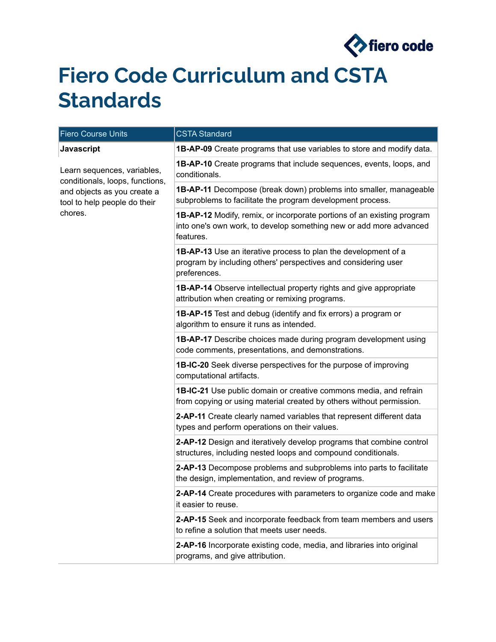

## **Fiero Code Curriculum and CSTA Standards**

| <b>Fiero Course Units</b>                                                                                                                | <b>CSTA Standard</b>                                                                                                                                             |
|------------------------------------------------------------------------------------------------------------------------------------------|------------------------------------------------------------------------------------------------------------------------------------------------------------------|
| <b>Javascript</b>                                                                                                                        | 1B-AP-09 Create programs that use variables to store and modify data.                                                                                            |
| Learn sequences, variables,<br>conditionals, loops, functions,<br>and objects as you create a<br>tool to help people do their<br>chores. | <b>1B-AP-10</b> Create programs that include sequences, events, loops, and<br>conditionals.                                                                      |
|                                                                                                                                          | <b>1B-AP-11</b> Decompose (break down) problems into smaller, manageable<br>subproblems to facilitate the program development process.                           |
|                                                                                                                                          | <b>1B-AP-12</b> Modify, remix, or incorporate portions of an existing program<br>into one's own work, to develop something new or add more advanced<br>features. |
|                                                                                                                                          | <b>1B-AP-13</b> Use an iterative process to plan the development of a<br>program by including others' perspectives and considering user<br>preferences.          |
|                                                                                                                                          | <b>1B-AP-14</b> Observe intellectual property rights and give appropriate<br>attribution when creating or remixing programs.                                     |
|                                                                                                                                          | <b>1B-AP-15</b> Test and debug (identify and fix errors) a program or<br>algorithm to ensure it runs as intended.                                                |
|                                                                                                                                          | <b>1B-AP-17</b> Describe choices made during program development using<br>code comments, presentations, and demonstrations.                                      |
|                                                                                                                                          | 1B-IC-20 Seek diverse perspectives for the purpose of improving<br>computational artifacts.                                                                      |
|                                                                                                                                          | 1B-IC-21 Use public domain or creative commons media, and refrain<br>from copying or using material created by others without permission.                        |
|                                                                                                                                          | 2-AP-11 Create clearly named variables that represent different data<br>types and perform operations on their values.                                            |
|                                                                                                                                          | 2-AP-12 Design and iteratively develop programs that combine control<br>structures, including nested loops and compound conditionals.                            |
|                                                                                                                                          | 2-AP-13 Decompose problems and subproblems into parts to facilitate<br>the design, implementation, and review of programs.                                       |
|                                                                                                                                          | 2-AP-14 Create procedures with parameters to organize code and make<br>it easier to reuse.                                                                       |
|                                                                                                                                          | 2-AP-15 Seek and incorporate feedback from team members and users<br>to refine a solution that meets user needs.                                                 |
|                                                                                                                                          | 2-AP-16 Incorporate existing code, media, and libraries into original<br>programs, and give attribution.                                                         |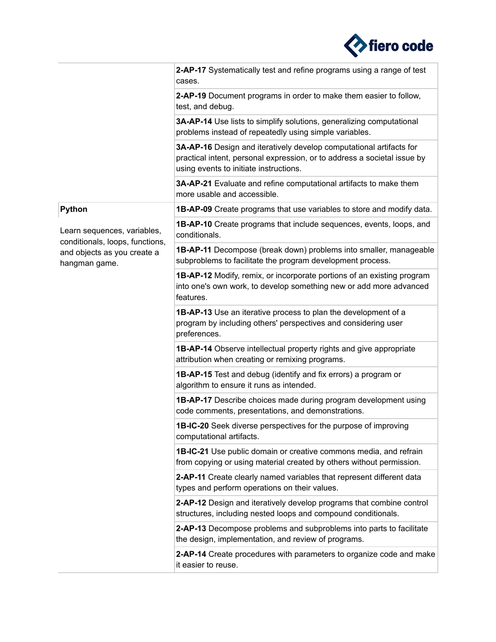

|                                                                | 2-AP-17 Systematically test and refine programs using a range of test<br>cases.                                                                                                           |
|----------------------------------------------------------------|-------------------------------------------------------------------------------------------------------------------------------------------------------------------------------------------|
|                                                                | 2-AP-19 Document programs in order to make them easier to follow,<br>test, and debug.                                                                                                     |
|                                                                | 3A-AP-14 Use lists to simplify solutions, generalizing computational<br>problems instead of repeatedly using simple variables.                                                            |
|                                                                | 3A-AP-16 Design and iteratively develop computational artifacts for<br>practical intent, personal expression, or to address a societal issue by<br>using events to initiate instructions. |
|                                                                | 3A-AP-21 Evaluate and refine computational artifacts to make them<br>more usable and accessible.                                                                                          |
| Python                                                         | <b>1B-AP-09</b> Create programs that use variables to store and modify data.                                                                                                              |
| Learn sequences, variables,<br>conditionals, loops, functions, | <b>1B-AP-10</b> Create programs that include sequences, events, loops, and<br>conditionals.                                                                                               |
| and objects as you create a<br>hangman game.                   | 1B-AP-11 Decompose (break down) problems into smaller, manageable<br>subproblems to facilitate the program development process.                                                           |
|                                                                | <b>1B-AP-12</b> Modify, remix, or incorporate portions of an existing program<br>into one's own work, to develop something new or add more advanced<br>features.                          |
|                                                                | <b>1B-AP-13</b> Use an iterative process to plan the development of a<br>program by including others' perspectives and considering user<br>preferences.                                   |
|                                                                | <b>1B-AP-14</b> Observe intellectual property rights and give appropriate<br>attribution when creating or remixing programs.                                                              |
|                                                                | <b>1B-AP-15</b> Test and debug (identify and fix errors) a program or<br>algorithm to ensure it runs as intended.                                                                         |
|                                                                | <b>1B-AP-17</b> Describe choices made during program development using<br>code comments, presentations, and demonstrations.                                                               |
|                                                                | 1B-IC-20 Seek diverse perspectives for the purpose of improving<br>computational artifacts.                                                                                               |
|                                                                | <b>1B-IC-21</b> Use public domain or creative commons media, and refrain<br>from copying or using material created by others without permission.                                          |
|                                                                | 2-AP-11 Create clearly named variables that represent different data<br>types and perform operations on their values.                                                                     |
|                                                                | 2-AP-12 Design and iteratively develop programs that combine control<br>structures, including nested loops and compound conditionals.                                                     |
|                                                                | 2-AP-13 Decompose problems and subproblems into parts to facilitate<br>the design, implementation, and review of programs.                                                                |
|                                                                | 2-AP-14 Create procedures with parameters to organize code and make<br>it easier to reuse.                                                                                                |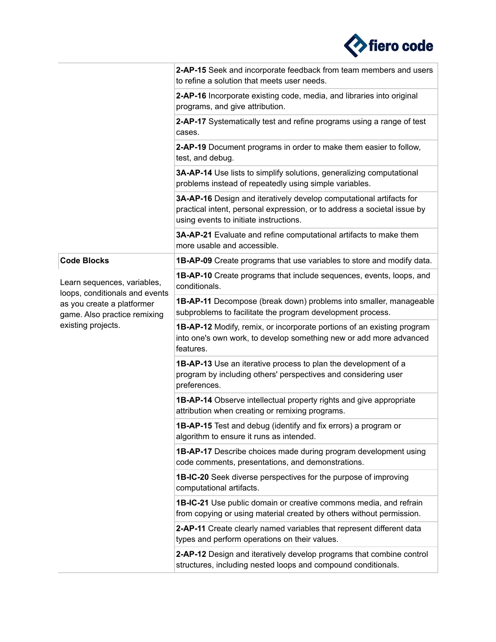

|                                                               | 2-AP-15 Seek and incorporate feedback from team members and users<br>to refine a solution that meets user needs.                                                                          |
|---------------------------------------------------------------|-------------------------------------------------------------------------------------------------------------------------------------------------------------------------------------------|
|                                                               | 2-AP-16 Incorporate existing code, media, and libraries into original<br>programs, and give attribution.                                                                                  |
|                                                               | 2-AP-17 Systematically test and refine programs using a range of test<br>cases.                                                                                                           |
|                                                               | 2-AP-19 Document programs in order to make them easier to follow,<br>test, and debug.                                                                                                     |
|                                                               | 3A-AP-14 Use lists to simplify solutions, generalizing computational<br>problems instead of repeatedly using simple variables.                                                            |
|                                                               | 3A-AP-16 Design and iteratively develop computational artifacts for<br>practical intent, personal expression, or to address a societal issue by<br>using events to initiate instructions. |
|                                                               | 3A-AP-21 Evaluate and refine computational artifacts to make them<br>more usable and accessible.                                                                                          |
| <b>Code Blocks</b>                                            | <b>1B-AP-09</b> Create programs that use variables to store and modify data.                                                                                                              |
| Learn sequences, variables,<br>loops, conditionals and events | <b>1B-AP-10</b> Create programs that include sequences, events, loops, and<br>conditionals.                                                                                               |
| as you create a platformer<br>game. Also practice remixing    | <b>1B-AP-11</b> Decompose (break down) problems into smaller, manageable<br>subproblems to facilitate the program development process.                                                    |
| existing projects.                                            | <b>1B-AP-12</b> Modify, remix, or incorporate portions of an existing program<br>into one's own work, to develop something new or add more advanced<br>features.                          |
|                                                               | <b>1B-AP-13</b> Use an iterative process to plan the development of a<br>program by including others' perspectives and considering user<br>preferences.                                   |
|                                                               | <b>1B-AP-14</b> Observe intellectual property rights and give appropriate<br>attribution when creating or remixing programs.                                                              |
|                                                               | 1B-AP-15 Test and debug (identify and fix errors) a program or<br>algorithm to ensure it runs as intended.                                                                                |
|                                                               | <b>1B-AP-17</b> Describe choices made during program development using<br>code comments, presentations, and demonstrations.                                                               |
|                                                               | <b>1B-IC-20</b> Seek diverse perspectives for the purpose of improving<br>computational artifacts.                                                                                        |
|                                                               | 1B-IC-21 Use public domain or creative commons media, and refrain<br>from copying or using material created by others without permission.                                                 |
|                                                               | 2-AP-11 Create clearly named variables that represent different data<br>types and perform operations on their values.                                                                     |
|                                                               | 2-AP-12 Design and iteratively develop programs that combine control<br>structures, including nested loops and compound conditionals.                                                     |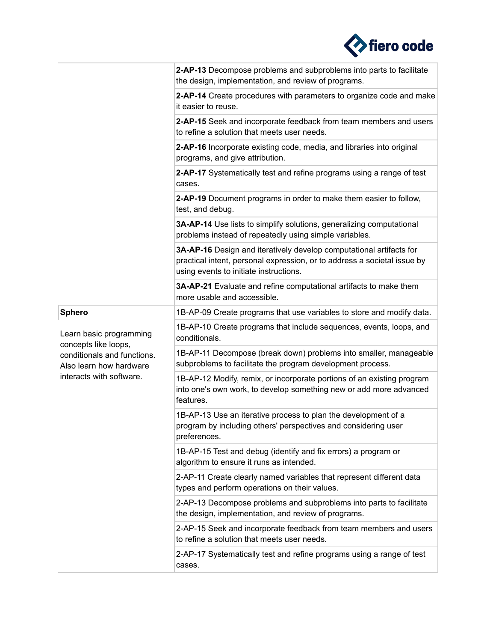

|                                                                                                            | 2-AP-13 Decompose problems and subproblems into parts to facilitate<br>the design, implementation, and review of programs.                                                                |
|------------------------------------------------------------------------------------------------------------|-------------------------------------------------------------------------------------------------------------------------------------------------------------------------------------------|
|                                                                                                            | 2-AP-14 Create procedures with parameters to organize code and make<br>it easier to reuse.                                                                                                |
|                                                                                                            | 2-AP-15 Seek and incorporate feedback from team members and users<br>to refine a solution that meets user needs.                                                                          |
|                                                                                                            | 2-AP-16 Incorporate existing code, media, and libraries into original<br>programs, and give attribution.                                                                                  |
|                                                                                                            | 2-AP-17 Systematically test and refine programs using a range of test<br>cases.                                                                                                           |
|                                                                                                            | 2-AP-19 Document programs in order to make them easier to follow,<br>test, and debug.                                                                                                     |
|                                                                                                            | 3A-AP-14 Use lists to simplify solutions, generalizing computational<br>problems instead of repeatedly using simple variables.                                                            |
|                                                                                                            | 3A-AP-16 Design and iteratively develop computational artifacts for<br>practical intent, personal expression, or to address a societal issue by<br>using events to initiate instructions. |
|                                                                                                            | 3A-AP-21 Evaluate and refine computational artifacts to make them<br>more usable and accessible.                                                                                          |
| <b>Sphero</b>                                                                                              | 1B-AP-09 Create programs that use variables to store and modify data.                                                                                                                     |
| Learn basic programming                                                                                    | 1B-AP-10 Create programs that include sequences, events, loops, and<br>conditionals.                                                                                                      |
| concepts like loops,<br>conditionals and functions.<br>Also learn how hardware<br>interacts with software. | 1B-AP-11 Decompose (break down) problems into smaller, manageable<br>subproblems to facilitate the program development process.                                                           |
|                                                                                                            | 1B-AP-12 Modify, remix, or incorporate portions of an existing program<br>into one's own work, to develop something new or add more advanced<br>features.                                 |
|                                                                                                            | 1B-AP-13 Use an iterative process to plan the development of a<br>program by including others' perspectives and considering user<br>preferences.                                          |
|                                                                                                            | 1B-AP-15 Test and debug (identify and fix errors) a program or<br>algorithm to ensure it runs as intended.                                                                                |
|                                                                                                            | 2-AP-11 Create clearly named variables that represent different data<br>types and perform operations on their values.                                                                     |
|                                                                                                            | 2-AP-13 Decompose problems and subproblems into parts to facilitate<br>the design, implementation, and review of programs.                                                                |
|                                                                                                            | 2-AP-15 Seek and incorporate feedback from team members and users<br>to refine a solution that meets user needs.                                                                          |
|                                                                                                            | 2-AP-17 Systematically test and refine programs using a range of test<br>cases.                                                                                                           |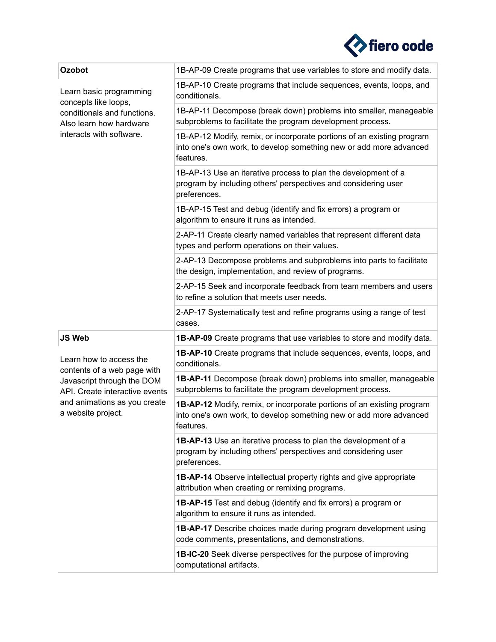

| Ozobot                                                                                                                                                                       | 1B-AP-09 Create programs that use variables to store and modify data.                                                                                     |
|------------------------------------------------------------------------------------------------------------------------------------------------------------------------------|-----------------------------------------------------------------------------------------------------------------------------------------------------------|
| Learn basic programming<br>concepts like loops,<br>conditionals and functions.<br>Also learn how hardware<br>interacts with software.                                        | 1B-AP-10 Create programs that include sequences, events, loops, and<br>conditionals.                                                                      |
|                                                                                                                                                                              | 1B-AP-11 Decompose (break down) problems into smaller, manageable<br>subproblems to facilitate the program development process.                           |
|                                                                                                                                                                              | 1B-AP-12 Modify, remix, or incorporate portions of an existing program<br>into one's own work, to develop something new or add more advanced<br>features. |
|                                                                                                                                                                              | 1B-AP-13 Use an iterative process to plan the development of a<br>program by including others' perspectives and considering user<br>preferences.          |
|                                                                                                                                                                              | 1B-AP-15 Test and debug (identify and fix errors) a program or<br>algorithm to ensure it runs as intended.                                                |
|                                                                                                                                                                              | 2-AP-11 Create clearly named variables that represent different data<br>types and perform operations on their values.                                     |
|                                                                                                                                                                              | 2-AP-13 Decompose problems and subproblems into parts to facilitate<br>the design, implementation, and review of programs.                                |
|                                                                                                                                                                              | 2-AP-15 Seek and incorporate feedback from team members and users<br>to refine a solution that meets user needs.                                          |
|                                                                                                                                                                              | 2-AP-17 Systematically test and refine programs using a range of test<br>cases.                                                                           |
| <b>JS Web</b>                                                                                                                                                                | <b>1B-AP-09</b> Create programs that use variables to store and modify data.                                                                              |
| Learn how to access the<br>contents of a web page with<br>Javascript through the DOM<br>API. Create interactive events<br>and animations as you create<br>a website project. | <b>1B-AP-10</b> Create programs that include sequences, events, loops, and<br>conditionals.                                                               |
|                                                                                                                                                                              | 1B-AP-11 Decompose (break down) problems into smaller, manageable<br>subproblems to facilitate the program development process.                           |
|                                                                                                                                                                              | 1B-AP-12 Modify, remix, or incorporate portions of an existing program<br>into one's own work, to develop something new or add more advanced<br>features. |
|                                                                                                                                                                              | 1B-AP-13 Use an iterative process to plan the development of a<br>program by including others' perspectives and considering user<br>preferences.          |
|                                                                                                                                                                              | <b>1B-AP-14</b> Observe intellectual property rights and give appropriate<br>attribution when creating or remixing programs.                              |
|                                                                                                                                                                              | <b>1B-AP-15</b> Test and debug (identify and fix errors) a program or<br>algorithm to ensure it runs as intended.                                         |
|                                                                                                                                                                              | <b>1B-AP-17</b> Describe choices made during program development using<br>code comments, presentations, and demonstrations.                               |
|                                                                                                                                                                              | <b>1B-IC-20</b> Seek diverse perspectives for the purpose of improving<br>computational artifacts.                                                        |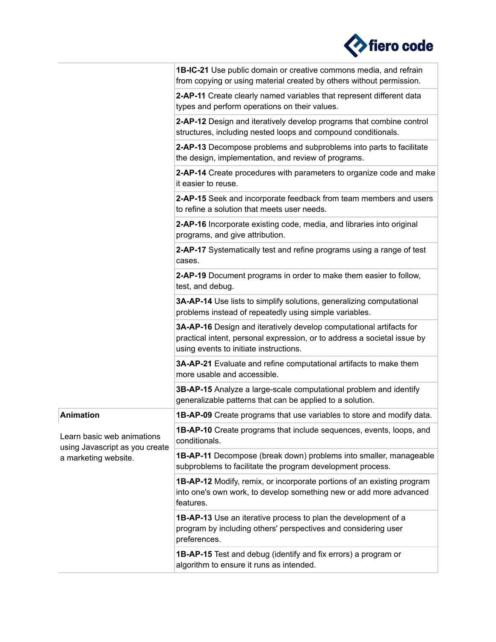

|                                                                                      | 1B-IC-21 Use public domain or creative commons media, and refrain<br>from copying or using material created by others without permission.                                                 |
|--------------------------------------------------------------------------------------|-------------------------------------------------------------------------------------------------------------------------------------------------------------------------------------------|
|                                                                                      | 2-AP-11 Create clearly named variables that represent different data<br>types and perform operations on their values.                                                                     |
|                                                                                      | 2-AP-12 Design and iteratively develop programs that combine control<br>structures, including nested loops and compound conditionals.                                                     |
|                                                                                      | 2-AP-13 Decompose problems and subproblems into parts to facilitate<br>the design, implementation, and review of programs.                                                                |
|                                                                                      | 2-AP-14 Create procedures with parameters to organize code and make<br>it easier to reuse.                                                                                                |
|                                                                                      | 2-AP-15 Seek and incorporate feedback from team members and users<br>to refine a solution that meets user needs.                                                                          |
|                                                                                      | 2-AP-16 Incorporate existing code, media, and libraries into original<br>programs, and give attribution.                                                                                  |
|                                                                                      | 2-AP-17 Systematically test and refine programs using a range of test<br>cases.                                                                                                           |
|                                                                                      | 2-AP-19 Document programs in order to make them easier to follow,<br>test, and debug.                                                                                                     |
|                                                                                      | 3A-AP-14 Use lists to simplify solutions, generalizing computational<br>problems instead of repeatedly using simple variables.                                                            |
|                                                                                      | 3A-AP-16 Design and iteratively develop computational artifacts for<br>practical intent, personal expression, or to address a societal issue by<br>using events to initiate instructions. |
|                                                                                      | 3A-AP-21 Evaluate and refine computational artifacts to make them<br>more usable and accessible.                                                                                          |
|                                                                                      | 3B-AP-15 Analyze a large-scale computational problem and identify<br>generalizable patterns that can be applied to a solution.                                                            |
| <b>Animation</b>                                                                     | <b>1B-AP-09</b> Create programs that use variables to store and modify data.                                                                                                              |
| Learn basic web animations<br>using Javascript as you create<br>a marketing website. | <b>1B-AP-10</b> Create programs that include sequences, events, loops, and<br>conditionals.                                                                                               |
|                                                                                      | <b>1B-AP-11</b> Decompose (break down) problems into smaller, manageable<br>subproblems to facilitate the program development process.                                                    |
|                                                                                      | 1B-AP-12 Modify, remix, or incorporate portions of an existing program<br>into one's own work, to develop something new or add more advanced<br>features.                                 |
|                                                                                      | <b>1B-AP-13</b> Use an iterative process to plan the development of a<br>program by including others' perspectives and considering user<br>preferences.                                   |
|                                                                                      | <b>1B-AP-15</b> Test and debug (identify and fix errors) a program or<br>algorithm to ensure it runs as intended.                                                                         |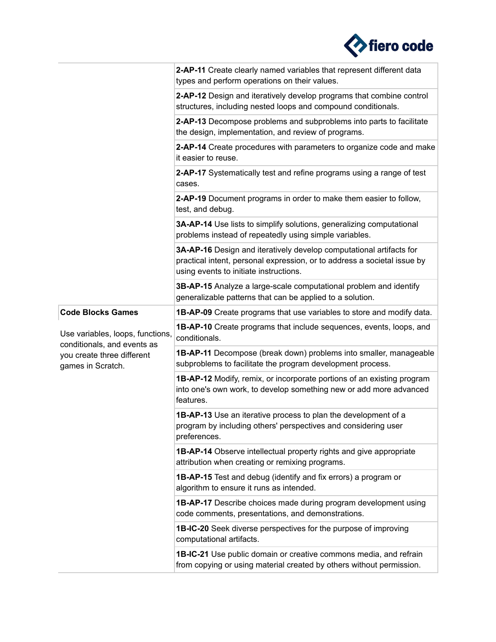

|                                                                 | 2-AP-11 Create clearly named variables that represent different data<br>types and perform operations on their values.                                                                     |
|-----------------------------------------------------------------|-------------------------------------------------------------------------------------------------------------------------------------------------------------------------------------------|
|                                                                 | 2-AP-12 Design and iteratively develop programs that combine control<br>structures, including nested loops and compound conditionals.                                                     |
|                                                                 | 2-AP-13 Decompose problems and subproblems into parts to facilitate<br>the design, implementation, and review of programs.                                                                |
|                                                                 | 2-AP-14 Create procedures with parameters to organize code and make<br>it easier to reuse.                                                                                                |
|                                                                 | 2-AP-17 Systematically test and refine programs using a range of test<br>cases.                                                                                                           |
|                                                                 | 2-AP-19 Document programs in order to make them easier to follow,<br>test, and debug.                                                                                                     |
|                                                                 | 3A-AP-14 Use lists to simplify solutions, generalizing computational<br>problems instead of repeatedly using simple variables.                                                            |
|                                                                 | 3A-AP-16 Design and iteratively develop computational artifacts for<br>practical intent, personal expression, or to address a societal issue by<br>using events to initiate instructions. |
|                                                                 | 3B-AP-15 Analyze a large-scale computational problem and identify<br>generalizable patterns that can be applied to a solution.                                                            |
| <b>Code Blocks Games</b>                                        | <b>1B-AP-09</b> Create programs that use variables to store and modify data.                                                                                                              |
| Use variables, loops, functions,<br>conditionals, and events as | <b>1B-AP-10</b> Create programs that include sequences, events, loops, and<br>conditionals.                                                                                               |
| you create three different<br>games in Scratch.                 | <b>1B-AP-11</b> Decompose (break down) problems into smaller, manageable<br>subproblems to facilitate the program development process.                                                    |
|                                                                 | <b>1B-AP-12</b> Modify, remix, or incorporate portions of an existing program<br>into one's own work, to develop something new or add more advanced<br>features.                          |
|                                                                 | <b>1B-AP-13</b> Use an iterative process to plan the development of a<br>program by including others' perspectives and considering user<br>preferences.                                   |
|                                                                 | <b>1B-AP-14</b> Observe intellectual property rights and give appropriate<br>attribution when creating or remixing programs.                                                              |
|                                                                 | <b>1B-AP-15</b> Test and debug (identify and fix errors) a program or<br>algorithm to ensure it runs as intended.                                                                         |
|                                                                 | <b>1B-AP-17</b> Describe choices made during program development using<br>code comments, presentations, and demonstrations.                                                               |
|                                                                 | <b>1B-IC-20</b> Seek diverse perspectives for the purpose of improving<br>computational artifacts.                                                                                        |
|                                                                 | <b>1B-IC-21</b> Use public domain or creative commons media, and refrain<br>from copying or using material created by others without permission.                                          |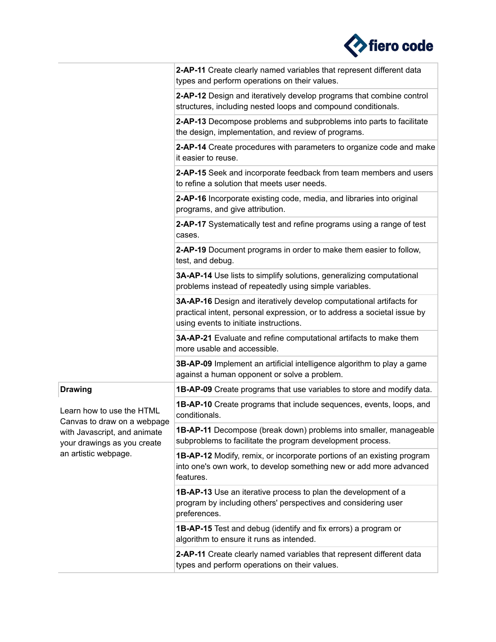

|                                                                                                                                                 | 2-AP-11 Create clearly named variables that represent different data<br>types and perform operations on their values.                                                                     |
|-------------------------------------------------------------------------------------------------------------------------------------------------|-------------------------------------------------------------------------------------------------------------------------------------------------------------------------------------------|
|                                                                                                                                                 | 2-AP-12 Design and iteratively develop programs that combine control<br>structures, including nested loops and compound conditionals.                                                     |
|                                                                                                                                                 | 2-AP-13 Decompose problems and subproblems into parts to facilitate<br>the design, implementation, and review of programs.                                                                |
|                                                                                                                                                 | 2-AP-14 Create procedures with parameters to organize code and make<br>it easier to reuse.                                                                                                |
|                                                                                                                                                 | 2-AP-15 Seek and incorporate feedback from team members and users<br>to refine a solution that meets user needs.                                                                          |
|                                                                                                                                                 | 2-AP-16 Incorporate existing code, media, and libraries into original<br>programs, and give attribution.                                                                                  |
|                                                                                                                                                 | 2-AP-17 Systematically test and refine programs using a range of test<br>cases.                                                                                                           |
|                                                                                                                                                 | 2-AP-19 Document programs in order to make them easier to follow,<br>test, and debug.                                                                                                     |
|                                                                                                                                                 | 3A-AP-14 Use lists to simplify solutions, generalizing computational<br>problems instead of repeatedly using simple variables.                                                            |
|                                                                                                                                                 | 3A-AP-16 Design and iteratively develop computational artifacts for<br>practical intent, personal expression, or to address a societal issue by<br>using events to initiate instructions. |
|                                                                                                                                                 | 3A-AP-21 Evaluate and refine computational artifacts to make them<br>more usable and accessible.                                                                                          |
|                                                                                                                                                 | 3B-AP-09 Implement an artificial intelligence algorithm to play a game<br>against a human opponent or solve a problem.                                                                    |
| <b>Drawing</b>                                                                                                                                  | <b>1B-AP-09</b> Create programs that use variables to store and modify data.                                                                                                              |
| Learn how to use the HTML<br>Canvas to draw on a webpage<br>with Javascript, and animate<br>your drawings as you create<br>an artistic webpage. | 1B-AP-10 Create programs that include sequences, events, loops, and<br>conditionals.                                                                                                      |
|                                                                                                                                                 | 1B-AP-11 Decompose (break down) problems into smaller, manageable<br>subproblems to facilitate the program development process.                                                           |
|                                                                                                                                                 | <b>1B-AP-12</b> Modify, remix, or incorporate portions of an existing program<br>into one's own work, to develop something new or add more advanced<br>features.                          |
|                                                                                                                                                 | 1B-AP-13 Use an iterative process to plan the development of a<br>program by including others' perspectives and considering user<br>preferences.                                          |
|                                                                                                                                                 | <b>1B-AP-15</b> Test and debug (identify and fix errors) a program or<br>algorithm to ensure it runs as intended.                                                                         |
|                                                                                                                                                 | 2-AP-11 Create clearly named variables that represent different data<br>types and perform operations on their values.                                                                     |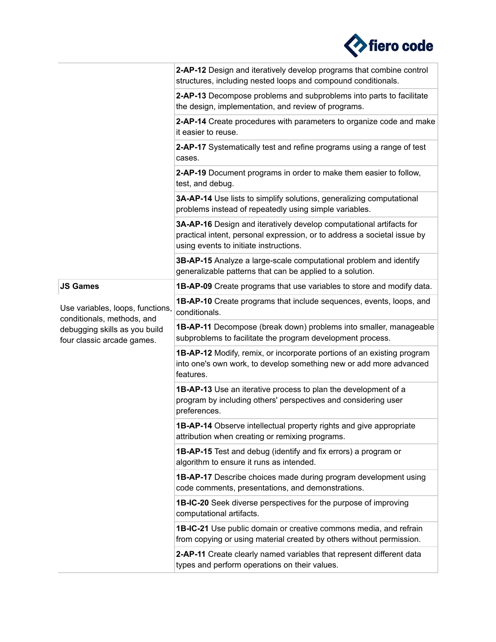

|                                                                | 2-AP-12 Design and iteratively develop programs that combine control<br>structures, including nested loops and compound conditionals.                                                     |
|----------------------------------------------------------------|-------------------------------------------------------------------------------------------------------------------------------------------------------------------------------------------|
|                                                                | 2-AP-13 Decompose problems and subproblems into parts to facilitate<br>the design, implementation, and review of programs.                                                                |
|                                                                | 2-AP-14 Create procedures with parameters to organize code and make<br>it easier to reuse.                                                                                                |
|                                                                | 2-AP-17 Systematically test and refine programs using a range of test<br>cases.                                                                                                           |
|                                                                | 2-AP-19 Document programs in order to make them easier to follow,<br>test, and debug.                                                                                                     |
|                                                                | 3A-AP-14 Use lists to simplify solutions, generalizing computational<br>problems instead of repeatedly using simple variables.                                                            |
|                                                                | 3A-AP-16 Design and iteratively develop computational artifacts for<br>practical intent, personal expression, or to address a societal issue by<br>using events to initiate instructions. |
|                                                                | 3B-AP-15 Analyze a large-scale computational problem and identify<br>generalizable patterns that can be applied to a solution.                                                            |
| <b>JS Games</b>                                                | <b>1B-AP-09</b> Create programs that use variables to store and modify data.                                                                                                              |
| Use variables, loops, functions,<br>conditionals, methods, and | <b>1B-AP-10</b> Create programs that include sequences, events, loops, and<br>conditionals.                                                                                               |
| debugging skills as you build<br>four classic arcade games.    | 1B-AP-11 Decompose (break down) problems into smaller, manageable<br>subproblems to facilitate the program development process.                                                           |
|                                                                | <b>1B-AP-12</b> Modify, remix, or incorporate portions of an existing program<br>into one's own work, to develop something new or add more advanced<br>features.                          |
|                                                                | <b>1B-AP-13</b> Use an iterative process to plan the development of a<br>program by including others' perspectives and considering user<br>preferences.                                   |
|                                                                | <b>1B-AP-14</b> Observe intellectual property rights and give appropriate<br>attribution when creating or remixing programs.                                                              |
|                                                                | <b>1B-AP-15</b> Test and debug (identify and fix errors) a program or<br>algorithm to ensure it runs as intended.                                                                         |
|                                                                | <b>1B-AP-17</b> Describe choices made during program development using<br>code comments, presentations, and demonstrations.                                                               |
|                                                                | 1B-IC-20 Seek diverse perspectives for the purpose of improving<br>computational artifacts.                                                                                               |
|                                                                | <b>1B-IC-21</b> Use public domain or creative commons media, and refrain<br>from copying or using material created by others without permission.                                          |
|                                                                | 2-AP-11 Create clearly named variables that represent different data<br>types and perform operations on their values.                                                                     |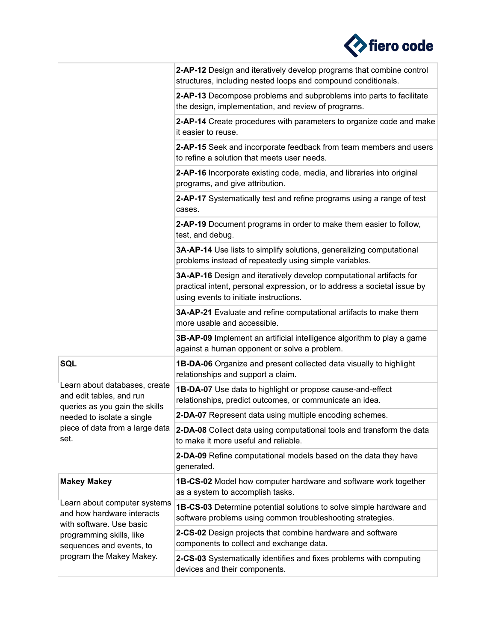

|                                                                                                                                                                            | 2-AP-12 Design and iteratively develop programs that combine control<br>structures, including nested loops and compound conditionals.                                                     |
|----------------------------------------------------------------------------------------------------------------------------------------------------------------------------|-------------------------------------------------------------------------------------------------------------------------------------------------------------------------------------------|
|                                                                                                                                                                            | 2-AP-13 Decompose problems and subproblems into parts to facilitate<br>the design, implementation, and review of programs.                                                                |
|                                                                                                                                                                            | 2-AP-14 Create procedures with parameters to organize code and make<br>it easier to reuse.                                                                                                |
|                                                                                                                                                                            | 2-AP-15 Seek and incorporate feedback from team members and users<br>to refine a solution that meets user needs.                                                                          |
|                                                                                                                                                                            | 2-AP-16 Incorporate existing code, media, and libraries into original<br>programs, and give attribution.                                                                                  |
|                                                                                                                                                                            | 2-AP-17 Systematically test and refine programs using a range of test<br>cases.                                                                                                           |
|                                                                                                                                                                            | 2-AP-19 Document programs in order to make them easier to follow,<br>test, and debug.                                                                                                     |
|                                                                                                                                                                            | 3A-AP-14 Use lists to simplify solutions, generalizing computational<br>problems instead of repeatedly using simple variables.                                                            |
|                                                                                                                                                                            | 3A-AP-16 Design and iteratively develop computational artifacts for<br>practical intent, personal expression, or to address a societal issue by<br>using events to initiate instructions. |
|                                                                                                                                                                            | 3A-AP-21 Evaluate and refine computational artifacts to make them<br>more usable and accessible.                                                                                          |
|                                                                                                                                                                            | 3B-AP-09 Implement an artificial intelligence algorithm to play a game<br>against a human opponent or solve a problem.                                                                    |
| <b>SQL</b>                                                                                                                                                                 | 1B-DA-06 Organize and present collected data visually to highlight<br>relationships and support a claim.                                                                                  |
| Learn about databases, create<br>and edit tables, and run<br>queries as you gain the skills                                                                                | 1B-DA-07 Use data to highlight or propose cause-and-effect<br>relationships, predict outcomes, or communicate an idea.                                                                    |
| needed to isolate a single                                                                                                                                                 | 2-DA-07 Represent data using multiple encoding schemes.                                                                                                                                   |
| piece of data from a large data<br>set.                                                                                                                                    | 2-DA-08 Collect data using computational tools and transform the data<br>to make it more useful and reliable.                                                                             |
|                                                                                                                                                                            | 2-DA-09 Refine computational models based on the data they have<br>generated.                                                                                                             |
| <b>Makey Makey</b>                                                                                                                                                         | <b>1B-CS-02</b> Model how computer hardware and software work together<br>as a system to accomplish tasks.                                                                                |
| Learn about computer systems<br>and how hardware interacts<br>with software. Use basic<br>programming skills, like<br>sequences and events, to<br>program the Makey Makey. | 1B-CS-03 Determine potential solutions to solve simple hardware and<br>software problems using common troubleshooting strategies.                                                         |
|                                                                                                                                                                            | 2-CS-02 Design projects that combine hardware and software<br>components to collect and exchange data.                                                                                    |
|                                                                                                                                                                            | 2-CS-03 Systematically identifies and fixes problems with computing<br>devices and their components.                                                                                      |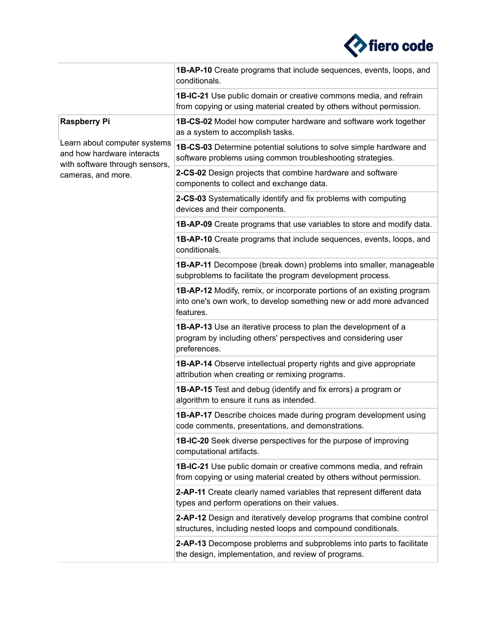

|                                                                                                                                           | <b>1B-AP-10</b> Create programs that include sequences, events, loops, and<br>conditionals.                                                               |
|-------------------------------------------------------------------------------------------------------------------------------------------|-----------------------------------------------------------------------------------------------------------------------------------------------------------|
|                                                                                                                                           | 1B-IC-21 Use public domain or creative commons media, and refrain<br>from copying or using material created by others without permission.                 |
| <b>Raspberry Pi</b><br>Learn about computer systems<br>and how hardware interacts<br>with software through sensors,<br>cameras, and more. | <b>1B-CS-02</b> Model how computer hardware and software work together<br>as a system to accomplish tasks.                                                |
|                                                                                                                                           | <b>1B-CS-03</b> Determine potential solutions to solve simple hardware and<br>software problems using common troubleshooting strategies.                  |
|                                                                                                                                           | 2-CS-02 Design projects that combine hardware and software<br>components to collect and exchange data.                                                    |
|                                                                                                                                           | 2-CS-03 Systematically identify and fix problems with computing<br>devices and their components.                                                          |
|                                                                                                                                           | 1B-AP-09 Create programs that use variables to store and modify data.                                                                                     |
|                                                                                                                                           | <b>1B-AP-10</b> Create programs that include sequences, events, loops, and<br>conditionals.                                                               |
|                                                                                                                                           | <b>1B-AP-11</b> Decompose (break down) problems into smaller, manageable<br>subproblems to facilitate the program development process.                    |
|                                                                                                                                           | 1B-AP-12 Modify, remix, or incorporate portions of an existing program<br>into one's own work, to develop something new or add more advanced<br>features. |
|                                                                                                                                           | <b>1B-AP-13</b> Use an iterative process to plan the development of a<br>program by including others' perspectives and considering user<br>preferences.   |
|                                                                                                                                           | <b>1B-AP-14</b> Observe intellectual property rights and give appropriate<br>attribution when creating or remixing programs.                              |
|                                                                                                                                           | <b>1B-AP-15</b> Test and debug (identify and fix errors) a program or<br>algorithm to ensure it runs as intended.                                         |
|                                                                                                                                           | <b>1B-AP-17</b> Describe choices made during program development using<br>code comments, presentations, and demonstrations.                               |
|                                                                                                                                           | <b>1B-IC-20</b> Seek diverse perspectives for the purpose of improving<br>computational artifacts.                                                        |
|                                                                                                                                           | 1B-IC-21 Use public domain or creative commons media, and refrain<br>from copying or using material created by others without permission.                 |
|                                                                                                                                           | 2-AP-11 Create clearly named variables that represent different data<br>types and perform operations on their values.                                     |
|                                                                                                                                           | 2-AP-12 Design and iteratively develop programs that combine control<br>structures, including nested loops and compound conditionals.                     |
|                                                                                                                                           | 2-AP-13 Decompose problems and subproblems into parts to facilitate<br>the design, implementation, and review of programs.                                |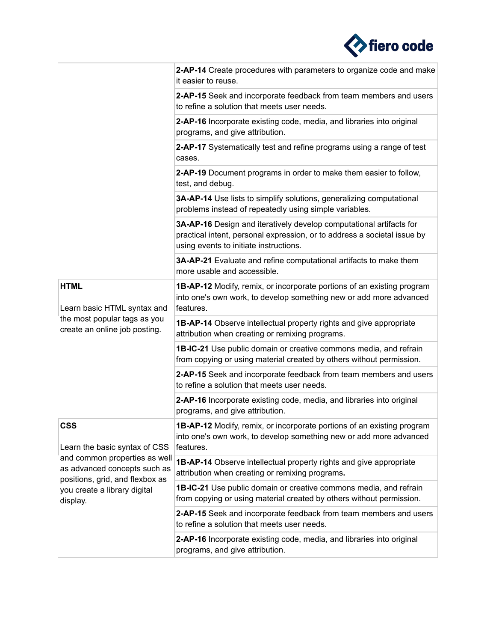

|                                                                                                                                                                                             | 2-AP-14 Create procedures with parameters to organize code and make<br>it easier to reuse.                                                                                                |
|---------------------------------------------------------------------------------------------------------------------------------------------------------------------------------------------|-------------------------------------------------------------------------------------------------------------------------------------------------------------------------------------------|
|                                                                                                                                                                                             | 2-AP-15 Seek and incorporate feedback from team members and users<br>to refine a solution that meets user needs.                                                                          |
|                                                                                                                                                                                             | 2-AP-16 Incorporate existing code, media, and libraries into original<br>programs, and give attribution.                                                                                  |
|                                                                                                                                                                                             | 2-AP-17 Systematically test and refine programs using a range of test<br>cases.                                                                                                           |
|                                                                                                                                                                                             | 2-AP-19 Document programs in order to make them easier to follow,<br>test, and debug.                                                                                                     |
|                                                                                                                                                                                             | 3A-AP-14 Use lists to simplify solutions, generalizing computational<br>problems instead of repeatedly using simple variables.                                                            |
|                                                                                                                                                                                             | 3A-AP-16 Design and iteratively develop computational artifacts for<br>practical intent, personal expression, or to address a societal issue by<br>using events to initiate instructions. |
|                                                                                                                                                                                             | 3A-AP-21 Evaluate and refine computational artifacts to make them<br>more usable and accessible.                                                                                          |
| <b>HTML</b><br>Learn basic HTML syntax and                                                                                                                                                  | 1B-AP-12 Modify, remix, or incorporate portions of an existing program<br>into one's own work, to develop something new or add more advanced<br>features.                                 |
| the most popular tags as you<br>create an online job posting.                                                                                                                               | <b>1B-AP-14</b> Observe intellectual property rights and give appropriate<br>attribution when creating or remixing programs.                                                              |
|                                                                                                                                                                                             | 1B-IC-21 Use public domain or creative commons media, and refrain<br>from copying or using material created by others without permission.                                                 |
|                                                                                                                                                                                             | 2-AP-15 Seek and incorporate feedback from team members and users<br>to refine a solution that meets user needs.                                                                          |
|                                                                                                                                                                                             | 2-AP-16 Incorporate existing code, media, and libraries into original<br>programs, and give attribution.                                                                                  |
| <b>CSS</b><br>Learn the basic syntax of CSS<br>and common properties as well<br>as advanced concepts such as<br>positions, grid, and flexbox as<br>you create a library digital<br>display. | <b>1B-AP-12</b> Modify, remix, or incorporate portions of an existing program<br>into one's own work, to develop something new or add more advanced<br>features.                          |
|                                                                                                                                                                                             | 1B-AP-14 Observe intellectual property rights and give appropriate<br>attribution when creating or remixing programs.                                                                     |
|                                                                                                                                                                                             | 1B-IC-21 Use public domain or creative commons media, and refrain<br>from copying or using material created by others without permission.                                                 |
|                                                                                                                                                                                             | 2-AP-15 Seek and incorporate feedback from team members and users<br>to refine a solution that meets user needs.                                                                          |
|                                                                                                                                                                                             | 2-AP-16 Incorporate existing code, media, and libraries into original<br>programs, and give attribution.                                                                                  |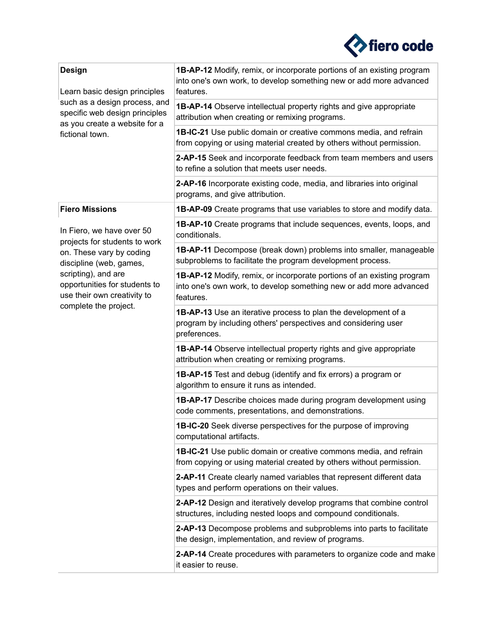

| <b>Design</b><br>Learn basic design principles<br>such as a design process, and<br>specific web design principles<br>as you create a website for a<br>fictional town.                                                                                      | 1B-AP-12 Modify, remix, or incorporate portions of an existing program<br>into one's own work, to develop something new or add more advanced<br>features. |
|------------------------------------------------------------------------------------------------------------------------------------------------------------------------------------------------------------------------------------------------------------|-----------------------------------------------------------------------------------------------------------------------------------------------------------|
|                                                                                                                                                                                                                                                            | 1B-AP-14 Observe intellectual property rights and give appropriate<br>attribution when creating or remixing programs.                                     |
|                                                                                                                                                                                                                                                            | 1B-IC-21 Use public domain or creative commons media, and refrain<br>from copying or using material created by others without permission.                 |
|                                                                                                                                                                                                                                                            | 2-AP-15 Seek and incorporate feedback from team members and users<br>to refine a solution that meets user needs.                                          |
|                                                                                                                                                                                                                                                            | 2-AP-16 Incorporate existing code, media, and libraries into original<br>programs, and give attribution.                                                  |
| <b>Fiero Missions</b><br>In Fiero, we have over 50<br>projects for students to work<br>on. These vary by coding<br>discipline (web, games,<br>scripting), and are<br>opportunities for students to<br>use their own creativity to<br>complete the project. | <b>1B-AP-09</b> Create programs that use variables to store and modify data.                                                                              |
|                                                                                                                                                                                                                                                            | <b>1B-AP-10</b> Create programs that include sequences, events, loops, and<br>conditionals.                                                               |
|                                                                                                                                                                                                                                                            | 1B-AP-11 Decompose (break down) problems into smaller, manageable<br>subproblems to facilitate the program development process.                           |
|                                                                                                                                                                                                                                                            | 1B-AP-12 Modify, remix, or incorporate portions of an existing program<br>into one's own work, to develop something new or add more advanced<br>features. |
|                                                                                                                                                                                                                                                            | <b>1B-AP-13</b> Use an iterative process to plan the development of a<br>program by including others' perspectives and considering user<br>preferences.   |
|                                                                                                                                                                                                                                                            | <b>1B-AP-14</b> Observe intellectual property rights and give appropriate<br>attribution when creating or remixing programs.                              |
|                                                                                                                                                                                                                                                            | <b>1B-AP-15</b> Test and debug (identify and fix errors) a program or<br>algorithm to ensure it runs as intended.                                         |
|                                                                                                                                                                                                                                                            | <b>1B-AP-17</b> Describe choices made during program development using<br>code comments, presentations, and demonstrations.                               |
|                                                                                                                                                                                                                                                            | 1B-IC-20 Seek diverse perspectives for the purpose of improving<br>computational artifacts.                                                               |
|                                                                                                                                                                                                                                                            | <b>1B-IC-21</b> Use public domain or creative commons media, and refrain<br>from copying or using material created by others without permission.          |
|                                                                                                                                                                                                                                                            | 2-AP-11 Create clearly named variables that represent different data<br>types and perform operations on their values.                                     |
|                                                                                                                                                                                                                                                            | 2-AP-12 Design and iteratively develop programs that combine control<br>structures, including nested loops and compound conditionals.                     |
|                                                                                                                                                                                                                                                            | 2-AP-13 Decompose problems and subproblems into parts to facilitate<br>the design, implementation, and review of programs.                                |
|                                                                                                                                                                                                                                                            | 2-AP-14 Create procedures with parameters to organize code and make<br>it easier to reuse.                                                                |